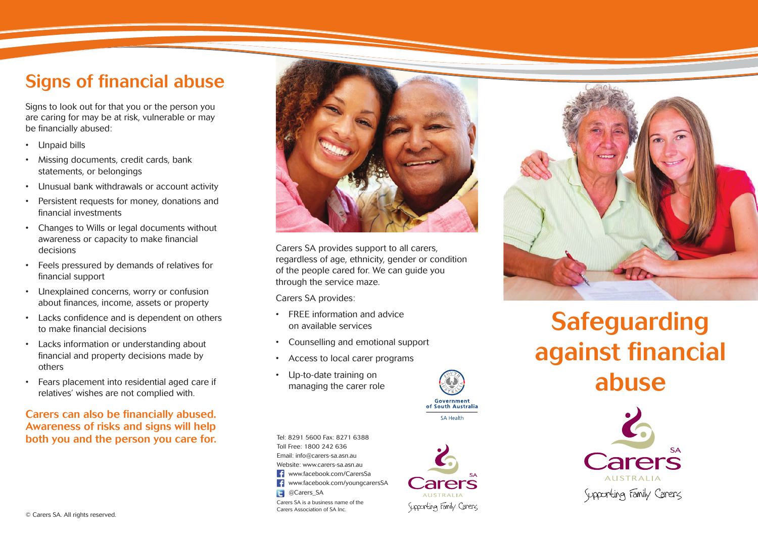### Signs of financial abuse

Signs to look out for that you or the person you are caring for may be at risk, vulnerable or may be financially abused:

- • Unpaid bills
- • Missing documents, credit cards, bank statements, or belongings
- • Unusual bank withdrawals or account activity
- • Persistent requests for money, donations and financial investments
- • Changes to Wills or legal documents without awareness or capacity to make financial decisions
- • Feels pressured by demands of relatives for financial support
- • Unexplained concerns, worry or confusion about finances, income, assets or property
- • Lacks confidence and is dependent on others to make financial decisions
- • Lacks information or understanding about financial and property decisions made by others
- • Fears placement into residential aged care if relatives' wishes are not complied with.

#### Carers can also be financially abused. Awareness of risks and signs will help both you and the person you care for.



Carers SA provides support to all carers, regardless of age, ethnicity, gender or condition of the people cared for. We can guide you through the service maze.

Carers SA provides:

- FREE information and advice on available services
- • Counselling and emotional support
- • Access to local carer programs
- • Up-to-date training on managing the carer role



**SA Health** 

Tel: 8291 5600 Fax: 8271 6388 Toll Free: 1800 242 636 Email: info@carers-sa.asn.au Website: www.carers-sa.asn.au  $\overline{f}$ www.facebook.com/CarersSa **T** www.facebook.com/youngcarersSA **Carers** SA Carers SA is a business name of the Carers Association of SA Inc.





# Safeguarding against financial abuse